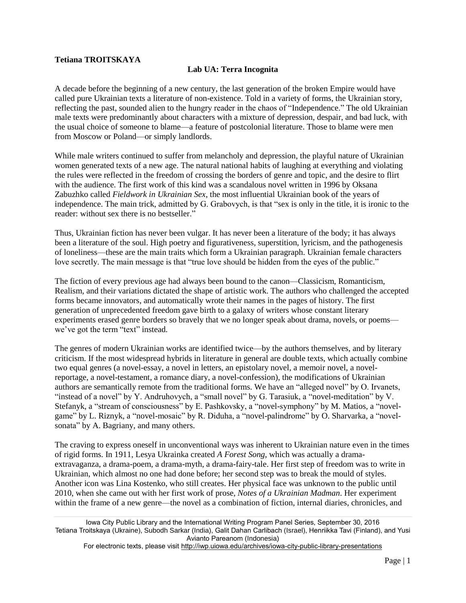## **Tetiana TROITSKAYA**

## **Lab UA: Terra Incognita**

A decade before the beginning of a new century, the last generation of the broken Empire would have called pure Ukrainian texts a literature of non-existence. Told in a variety of forms, the Ukrainian story, reflecting the past, sounded alien to the hungry reader in the chaos of "Independence." The old Ukrainian male texts were predominantly about characters with a mixture of depression, despair, and bad luck, with the usual choice of someone to blame—a feature of postcolonial literature. Those to blame were men from Moscow or Poland—or simply landlords.

While male writers continued to suffer from melancholy and depression, the playful nature of Ukrainian women generated texts of a new age. The natural national habits of laughing at everything and violating the rules were reflected in the freedom of crossing the borders of genre and topic, and the desire to flirt with the audience. The first work of this kind was a scandalous novel written in 1996 by Oksana Zabuzhko called *Fieldwork in Ukrainian Sex*, the most influential Ukrainian book of the years of independence. The main trick, admitted by G. Grabovych, is that "sex is only in the title, it is ironic to the reader: without sex there is no bestseller."

Thus, Ukrainian fiction has never been vulgar. It has never been a literature of the body; it has always been a literature of the soul. High poetry and figurativeness, superstition, lyricism, and the pathogenesis of loneliness—these are the main traits which form a Ukrainian paragraph. Ukrainian female characters love secretly. The main message is that "true love should be hidden from the eyes of the public."

The fiction of every previous age had always been bound to the canon—Classicism, Romanticism, Realism, and their variations dictated the shape of artistic work. The authors who challenged the accepted forms became innovators, and automatically wrote their names in the pages of history. The first generation of unprecedented freedom gave birth to a galaxy of writers whose constant literary experiments erased genre borders so bravely that we no longer speak about drama, novels, or poems we've got the term "text" instead.

The genres of modern Ukrainian works are identified twice—by the authors themselves, and by literary criticism. If the most widespread hybrids in literature in general are double texts, which actually combine two equal genres (a novel-essay, a novel in letters, an epistolary novel, a memoir novel, a novelreportage, a novel-testament, a romance diary, a novel-confession), the modifications of Ukrainian authors are semantically remote from the traditional forms. We have an "alleged novel" by O. Irvanets, "instead of a novel" by Y. Andruhovych, a "small novel" by G. Tarasiuk, a "novel-meditation" by V. Stefanyk, a "stream of consciousness" by E. Pashkovsky, a "novel-symphony" by M. Matios, a "novelgame" by L. Riznyk, a "novel-mosaic" by R. Diduha, a "novel-palindrome" by O. Sharvarka, a "novelsonata" by A. Bagriany, and many others.

The craving to express oneself in unconventional ways was inherent to Ukrainian nature even in the times of rigid forms. In 1911, Lesya Ukrainka created *A Forest Song*, which was actually a dramaextravaganza, a drama-poem, a drama-myth, a drama-fairy-tale. Her first step of freedom was to write in Ukrainian, which almost no one had done before; her second step was to break the mould of styles. Another icon was Lina Kostenko, who still creates. Her physical face was unknown to the public until 2010, when she came out with her first work of prose, *Notes of a Ukrainian Madman*. Her experiment within the frame of a new genre—the novel as a combination of fiction, internal diaries, chronicles, and

Iowa City Public Library and the International Writing Program Panel Series, September 30, 2016 Tetiana Troitskaya (Ukraine), Subodh Sarkar (India), Galit Dahan Carlibach (Israel), Henriikka Tavi (Finland), and Yusi Avianto Pareanom (Indonesia)

For electronic texts, please visit<http://iwp.uiowa.edu/archives/iowa-city-public-library-presentations>